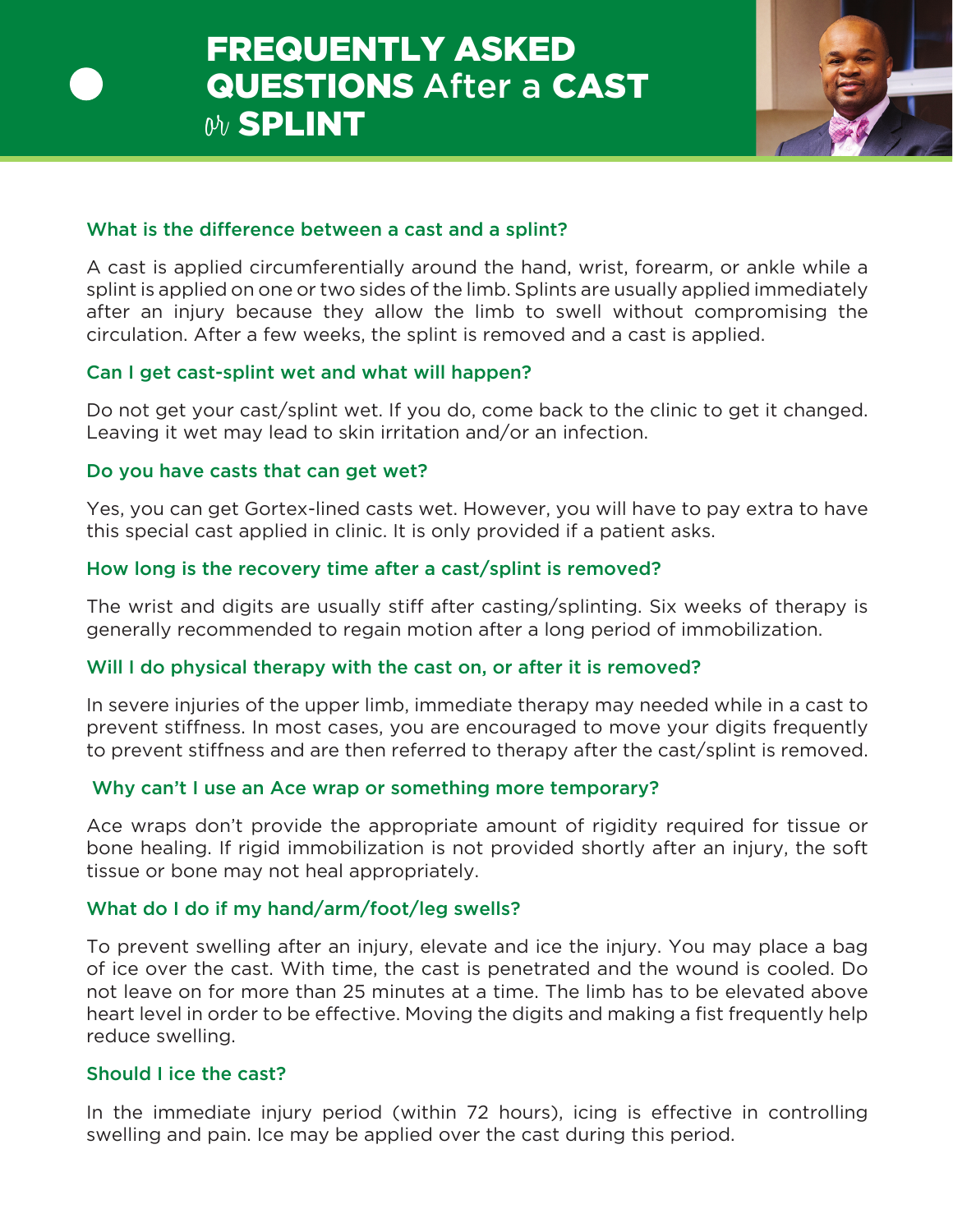

## What is the difference between a cast and a splint?

A cast is applied circumferentially around the hand, wrist, forearm, or ankle while a splint is applied on one or two sides of the limb. Splints are usually applied immediately after an injury because they allow the limb to swell without compromising the circulation. After a few weeks, the splint is removed and a cast is applied.

# Can I get cast-splint wet and what will happen?

Do not get your cast/splint wet. If you do, come back to the clinic to get it changed. Leaving it wet may lead to skin irritation and/or an infection.

## Do you have casts that can get wet?

Yes, you can get Gortex-lined casts wet. However, you will have to pay extra to have this special cast applied in clinic. It is only provided if a patient asks.

# How long is the recovery time after a cast/splint is removed?

The wrist and digits are usually stiff after casting/splinting. Six weeks of therapy is generally recommended to regain motion after a long period of immobilization.

# Will I do physical therapy with the cast on, or after it is removed?

In severe injuries of the upper limb, immediate therapy may needed while in a cast to prevent stiffness. In most cases, you are encouraged to move your digits frequently to prevent stiffness and are then referred to therapy after the cast/splint is removed.

# Why can't I use an Ace wrap or something more temporary?

Ace wraps don't provide the appropriate amount of rigidity required for tissue or bone healing. If rigid immobilization is not provided shortly after an injury, the soft tissue or bone may not heal appropriately.

# What do I do if my hand/arm/foot/leg swells?

To prevent swelling after an injury, elevate and ice the injury. You may place a bag of ice over the cast. With time, the cast is penetrated and the wound is cooled. Do not leave on for more than 25 minutes at a time. The limb has to be elevated above heart level in order to be effective. Moving the digits and making a fist frequently help reduce swelling.

## Should I ice the cast?

In the immediate injury period (within 72 hours), icing is effective in controlling swelling and pain. Ice may be applied over the cast during this period.